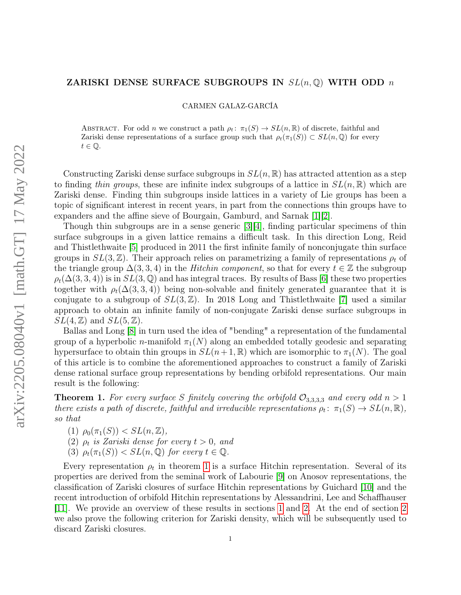## ZARISKI DENSE SURFACE SUBGROUPS IN  $SL(n, \mathbb{Q})$  with ODD n

CARMEN GALAZ-GARCÍA

ABSTRACT. For odd n we construct a path  $\rho_t: \pi_1(S) \to SL(n,\mathbb{R})$  of discrete, faithful and Zariski dense representations of a surface group such that  $\rho_t(\pi_1(S)) \subset SL(n,\mathbb{Q})$  for every  $t \in \mathbb{Q}$ .

Constructing Zariski dense surface subgroups in  $SL(n, \mathbb{R})$  has attracted attention as a step to finding thin groups, these are infinite index subgroups of a lattice in  $SL(n, \mathbb{R})$  which are Zariski dense. Finding thin subgroups inside lattices in a variety of Lie groups has been a topic of significant interest in recent years, in part from the connections thin groups have to expanders and the affine sieve of Bourgain, Gamburd, and Sarnak [\[1\]](#page-9-0)[\[2\]](#page-9-1).

Though thin subgroups are in a sense generic [\[3\]](#page-10-0)[\[4\]](#page-10-1), finding particular specimens of thin surface subgroups in a given lattice remains a difficult task. In this direction Long, Reid and Thistlethwaite [\[5\]](#page-10-2) produced in 2011 the first infinite family of nonconjugate thin surface groups in  $SL(3, \mathbb{Z})$ . Their approach relies on parametrizing a family of representations  $\rho_t$  of the triangle group  $\Delta(3,3,4)$  in the *Hitchin component*, so that for every  $t \in \mathbb{Z}$  the subgroup  $\rho_t(\Delta(3,3,4))$  is in  $SL(3,\mathbb{Q})$  and has integral traces. By results of Bass [\[6\]](#page-10-3) these two properties together with  $\rho_t(\Delta(3,3,4))$  being non-solvable and finitely generated guarantee that it is conjugate to a subgroup of  $SL(3,\mathbb{Z})$ . In 2018 Long and Thistlethwaite [\[7\]](#page-10-4) used a similar approach to obtain an infinite family of non-conjugate Zariski dense surface subgroups in  $SL(4,\mathbb{Z})$  and  $SL(5,\mathbb{Z})$ .

Ballas and Long [\[8\]](#page-10-5) in turn used the idea of "bending" a representation of the fundamental group of a hyperbolic n-manifold  $\pi_1(N)$  along an embedded totally geodesic and separating hypersurface to obtain thin groups in  $SL(n+1,\mathbb{R})$  which are isomorphic to  $\pi_1(N)$ . The goal of this article is to combine the aforementioned approaches to construct a family of Zariski dense rational surface group representations by bending orbifold representations. Our main result is the following:

<span id="page-0-0"></span>**Theorem 1.** For every surface S finitely covering the orbifold  $\mathcal{O}_{3,3,3,3}$  and every odd  $n > 1$ there exists a path of discrete, faithful and irreducible representations  $\rho_t: \pi_1(S) \to SL(n, \mathbb{R}),$ so that

(1)  $\rho_0(\pi_1(S)) < SL(n, \mathbb{Z}),$ 

(2)  $\rho_t$  is Zariski dense for every  $t > 0$ , and

(3)  $\rho_t(\pi_1(S)) < SL(n, \mathbb{Q})$  for every  $t \in \mathbb{Q}$ .

Every representation  $\rho_t$  in theorem [1](#page-0-0) is a surface Hitchin representation. Several of its properties are derived from the seminal work of Labourie [\[9\]](#page-10-6) on Anosov representations, the classification of Zariski closures of surface Hitchin representations by Guichard [\[10\]](#page-10-7) and the recent introduction of orbifold Hitchin representations by Alessandrini, Lee and Schaffhauser [\[11\]](#page-10-8). We provide an overview of these results in sections [1](#page-1-0) and [2.](#page-3-0) At the end of section [2](#page-3-0) we also prove the following criterion for Zariski density, which will be subsequently used to discard Zariski closures.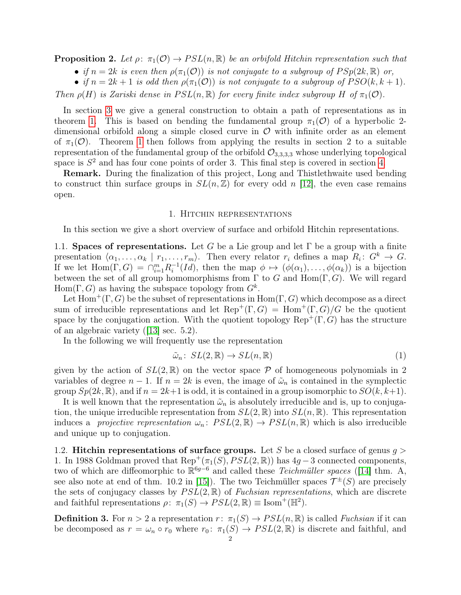<span id="page-1-2"></span>**Proposition 2.** Let  $\rho: \pi_1(\mathcal{O}) \to PSL(n,\mathbb{R})$  be an orbifold Hitchin representation such that

• if  $n = 2k$  is even then  $\rho(\pi_1(\mathcal{O}))$  is not conjugate to a subgroup of  $PSp(2k, \mathbb{R})$  or,

• if  $n = 2k + 1$  is odd then  $\rho(\pi_1(\mathcal{O}))$  is not conjugate to a subgroup of  $PSO(k, k + 1)$ .

Then  $\rho(H)$  is Zariski dense in  $PSL(n,\mathbb{R})$  for every finite index subgroup H of  $\pi_1(\mathcal{O})$ .

In section [3](#page-5-0) we give a general construction to obtain a path of representations as in theorem [1.](#page-0-0) This is based on bending the fundamental group  $\pi_1(\mathcal{O})$  of a hyperbolic 2dimensional orbifold along a simple closed curve in  $\mathcal O$  with infinite order as an element of  $\pi_1(\mathcal{O})$ . Theorem [1](#page-0-0) then follows from applying the results in section 2 to a suitable representation of the fundamental group of the orbifold  $\mathcal{O}_{3,3,3,3}$  whose underlying topological space is  $S<sup>2</sup>$  and has four cone points of order 3. This final step is covered in section [4.](#page-7-0)

Remark. During the finalization of this project, Long and Thistlethwaite used bending to construct thin surface groups in  $SL(n, \mathbb{Z})$  for every odd n [\[12\]](#page-10-9), the even case remains open.

#### 1. Hitchin representations

<span id="page-1-0"></span>In this section we give a short overview of surface and orbifold Hitchin representations.

<span id="page-1-1"></span>1.1. Spaces of representations. Let G be a Lie group and let  $\Gamma$  be a group with a finite presentation  $\langle \alpha_1, \ldots, \alpha_k | r_1, \ldots, r_m \rangle$ . Then every relator  $r_i$  defines a map  $R_i: G^k \to G$ . If we let  $\text{Hom}(\Gamma, G) = \bigcap_{i=1}^{m} R_i^{-1}$  $i_l^{-1}(Id)$ , then the map  $\phi \mapsto (\phi(\alpha_1), \ldots, \phi(\alpha_k))$  is a bijection between the set of all group homomorphisms from  $\Gamma$  to G and  $\text{Hom}(\Gamma, G)$ . We will regard  $Hom(\Gamma, G)$  as having the subspace topology from  $G^k$ .

Let  $\text{Hom}^+(\Gamma, G)$  be the subset of representations in  $\text{Hom}(\Gamma, G)$  which decompose as a direct sum of irreducible representations and let  $\text{Rep}^+(\Gamma, G) = \text{Hom}^+(\Gamma, G)/G$  be the quotient space by the conjugation action. With the quotient topology  $\text{Rep}^+(\Gamma, G)$  has the structure of an algebraic variety ([\[13\]](#page-10-10) sec. 5.2).

In the following we will frequently use the representation

<span id="page-1-3"></span>
$$
\tilde{\omega}_n \colon SL(2, \mathbb{R}) \to SL(n, \mathbb{R}) \tag{1}
$$

given by the action of  $SL(2,\mathbb{R})$  on the vector space  $\mathcal P$  of homogeneous polynomials in 2 variables of degree  $n-1$ . If  $n=2k$  is even, the image of  $\tilde{\omega}_n$  is contained in the symplectic group  $Sp(2k, \mathbb{R})$ , and if  $n = 2k+1$  is odd, it is contained in a group isomorphic to  $SO(k, k+1)$ .

It is well known that the representation  $\tilde{\omega}_n$  is absolutely irreducible and is, up to conjugation, the unique irreducible representation from  $SL(2,\mathbb{R})$  into  $SL(n,\mathbb{R})$ . This representation induces a *projective representation*  $\omega_n$ :  $PSL(2,\mathbb{R}) \to PSL(n,\mathbb{R})$  which is also irreducible and unique up to conjugation.

1.2. Hitchin representations of surface groups. Let S be a closed surface of genus  $g >$ 1. In 1988 Goldman proved that  $\text{Rep}^+(\pi_1(S), PSL(2,\mathbb{R}))$  has  $4g-3$  connected components, two of which are diffeomorphic to  $\mathbb{R}^{6g-6}$  and called these Teichmüller spaces ([\[14\]](#page-10-11) thm. A, see also note at end of thm. 10.2 in [\[15\]](#page-10-12)). The two Teichmüller spaces  $\mathcal{T}^{\pm}(S)$  are precisely the sets of conjugacy classes by  $PSL(2,\mathbb{R})$  of Fuchsian representations, which are discrete and faithful representations  $\rho: \pi_1(S) \to \text{PSL}(2,\mathbb{R}) \equiv \text{Isom}^+(\mathbb{H}^2)$ .

**Definition 3.** For  $n > 2$  a representation  $r: \pi_1(S) \to PSL(n, \mathbb{R})$  is called *Fuchsian* if it can be decomposed as  $r = \omega_n \circ r_0$  where  $r_0: \pi_1(S) \to PSL(2, \mathbb{R})$  is discrete and faithful, and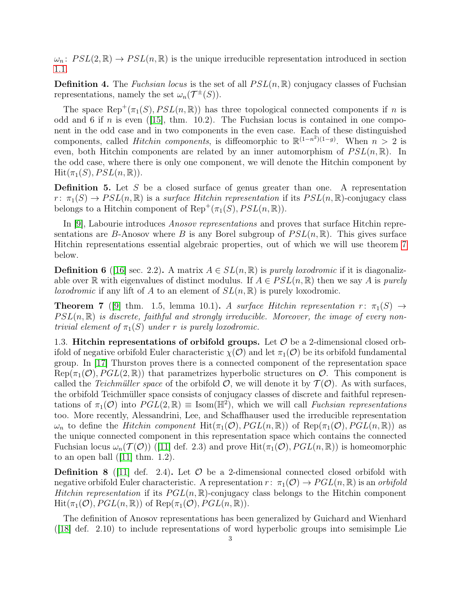$\omega_n$ :  $PSL(2,\mathbb{R}) \to PSL(n,\mathbb{R})$  is the unique irreducible representation introduced in section [1.1.](#page-1-1)

**Definition 4.** The *Fuchsian locus* is the set of all  $PSL(n, \mathbb{R})$  conjugacy classes of Fuchsian representations, namely the set  $\omega_n(\mathcal{T}^{\pm}(S)).$ 

The space  $\text{Rep}^+(\pi_1(S), PSL(n,\mathbb{R}))$  has three topological connected components if n is odd and 6 if n is even  $(15]$ , thm. 10.2). The Fuchsian locus is contained in one component in the odd case and in two components in the even case. Each of these distinguished components, called *Hitchin components*, is diffeomorphic to  $\mathbb{R}^{(1-n^2)(1-g)}$ . When  $n > 2$  is even, both Hitchin components are related by an inner automorphism of  $PSL(n, \mathbb{R})$ . In the odd case, where there is only one component, we will denote the Hitchin component by  $Hit(\pi_1(S), PSL(n, \mathbb{R})).$ 

**Definition 5.** Let  $S$  be a closed surface of genus greater than one. A representation  $r: \pi_1(S) \to PSL(n,\mathbb{R})$  is a surface Hitchin representation if its  $PSL(n,\mathbb{R})$ -conjugacy class belongs to a Hitchin component of  $\text{Rep}^+(\pi_1(S), PSL(n,\mathbb{R}))$ .

In [\[9\]](#page-10-6), Labourie introduces Anosov representations and proves that surface Hitchin representations are B-Anosov where B is any Borel subgroup of  $PSL(n, \mathbb{R})$ . This gives surface Hitchin representations essential algebraic properties, out of which we will use theorem [7](#page-2-0) below.

**Definition 6** ([\[16\]](#page-10-13) sec. 2.2). A matrix  $A \in SL(n,\mathbb{R})$  is *purely loxodromic* if it is diagonalizable over R with eigenvalues of distinct modulus. If  $A \in PSL(n,\mathbb{R})$  then we say A is purely loxodromic if any lift of A to an element of  $SL(n,\mathbb{R})$  is purely loxodromic.

<span id="page-2-0"></span>**Theorem 7** ([\[9\]](#page-10-6) thm. 1.5, lemma 10.1). A surface Hitchin representation  $r: \pi_1(S) \rightarrow$  $PSL(n, \mathbb{R})$  is discrete, faithful and strongly irreducible. Moreover, the image of every nontrivial element of  $\pi_1(S)$  under r is purely loxodromic.

1.3. Hitchin representations of orbifold groups. Let  $\mathcal O$  be a 2-dimensional closed orbifold of negative orbifold Euler characteristic  $\chi(\mathcal{O})$  and let  $\pi_1(\mathcal{O})$  be its orbifold fundamental group. In [\[17\]](#page-10-14) Thurston proves there is a connected component of the representation space  $Rep(\pi_1(\mathcal{O}), PGL(2, \mathbb{R}))$  that parametrizes hyperbolic structures on  $\mathcal{O}$ . This component is called the *Teichmüller space* of the orbifold  $\mathcal{O}$ , we will denote it by  $\mathcal{T}(\mathcal{O})$ . As with surfaces, the orbifold Teichmüller space consists of conjugacy classes of discrete and faithful representations of  $\pi_1(\mathcal{O})$  into  $PGL(2,\mathbb{R}) \equiv \text{Isom}(\mathbb{H}^2)$ , which we will call Fuchsian representations too. More recently, Alessandrini, Lee, and Schaffhauser used the irreducible representation  $\omega_n$  to define the *Hitchin component* Hit $(\pi_1(\mathcal{O}), PGL(n,\mathbb{R}))$  of Rep $(\pi_1(\mathcal{O}), PGL(n,\mathbb{R}))$  as the unique connected component in this representation space which contains the connected Fuchsian locus  $\omega_n(\mathcal{T}(\mathcal{O}))$  ([\[11\]](#page-10-8) def. 2.3) and prove Hit $(\pi_1(\mathcal{O}), PGL(n,\mathbb{R}))$  is homeomorphic to an open ball  $(111 \text{ thm. } 1.2)$ .

**Definition 8** ([\[11\]](#page-10-8) def. 2.4). Let  $\mathcal{O}$  be a 2-dimensional connected closed orbifold with negative orbifold Euler characteristic. A representation  $r: \pi_1(\mathcal{O}) \to PGL(n,\mathbb{R})$  is an orbifold Hitchin representation if its  $PGL(n,\mathbb{R})$ -conjugacy class belongs to the Hitchin component  $Hit(\pi_1(\mathcal{O}), PGL(n,\mathbb{R}))$  of  $Rep(\pi_1(\mathcal{O}), PGL(n,\mathbb{R}))$ .

The definition of Anosov representations has been generalized by Guichard and Wienhard ([\[18\]](#page-10-15) def. 2.10) to include representations of word hyperbolic groups into semisimple Lie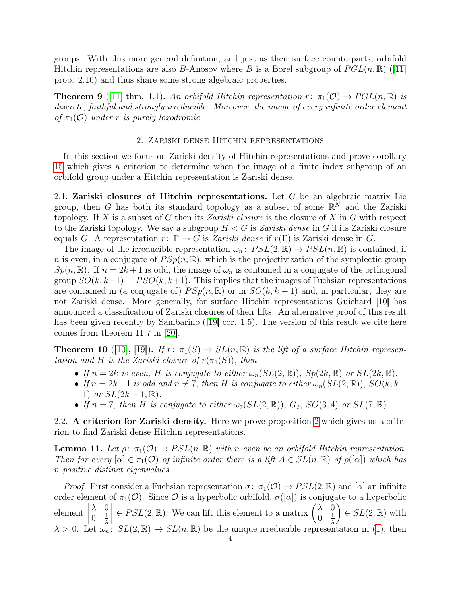groups. With this more general definition, and just as their surface counterparts, orbifold Hitchin representations are also B-Anosov where B is a Borel subgroup of  $PGL(n,\mathbb{R})$  ([\[11\]](#page-10-8) prop. 2.16) and thus share some strong algebraic properties.

<span id="page-3-1"></span>**Theorem 9** ([\[11\]](#page-10-8) thm. 1.1). An orbifold Hitchin representation  $r: \pi_1(\mathcal{O}) \to PGL(n,\mathbb{R})$  is discrete, faithful and strongly irreducible. Moreover, the image of every infinite order element of  $\pi_1(\mathcal{O})$  under r is purely loxodromic.

#### 2. Zariski dense Hitchin representations

<span id="page-3-0"></span>In this section we focus on Zariski density of Hitchin representations and prove corollary [15](#page-5-1) which gives a criterion to determine when the image of a finite index subgroup of an orbifold group under a Hitchin representation is Zariski dense.

<span id="page-3-4"></span>2.1. Zariski closures of Hitchin representations. Let  $G$  be an algebraic matrix Lie group, then G has both its standard topology as a subset of some  $\mathbb{R}^N$  and the Zariski topology. If X is a subset of G then its Zariski closure is the closure of X in G with respect to the Zariski topology. We say a subgroup  $H < G$  is Zariski dense in G if its Zariski closure equals G. A representation  $r: \Gamma \to G$  is Zariski dense if  $r(\Gamma)$  is Zariski dense in G.

The image of the irreducible representation  $\omega_n$ :  $PSL(2,\mathbb{R}) \to PSL(n,\mathbb{R})$  is contained, if *n* is even, in a conjugate of  $PSp(n, \mathbb{R})$ , which is the projectivization of the symplectic group  $Sp(n,\mathbb{R})$ . If  $n = 2k+1$  is odd, the image of  $\omega_n$  is contained in a conjugate of the orthogonal group  $SO(k, k+1) = PSO(k, k+1)$ . This implies that the images of Fuchsian representations are contained in (a conjugate of)  $PSp(n, \mathbb{R})$  or in  $SO(k, k+1)$  and, in particular, they are not Zariski dense. More generally, for surface Hitchin representations Guichard [\[10\]](#page-10-7) has announced a classification of Zariski closures of their lifts. An alternative proof of this result has been given recently by Sambarino ([\[19\]](#page-10-16) cor. 1.5). The version of this result we cite here comes from theorem 11.7 in [\[20\]](#page-10-17).

<span id="page-3-3"></span>**Theorem 10** ([\[10\]](#page-10-7), [\[19\]](#page-10-16)). If  $r: \pi_1(S) \to SL(n, \mathbb{R})$  is the lift of a surface Hitchin representation and H is the Zariski closure of  $r(\pi_1(S))$ , then

- If  $n = 2k$  is even, H is conjugate to either  $\omega_n(SL(2,\mathbb{R}))$ ,  $Sp(2k,\mathbb{R})$  or  $SL(2k,\mathbb{R})$ .
- If  $n = 2k+1$  is odd and  $n \neq 7$ , then H is conjugate to either  $\omega_n(SL(2,\mathbb{R}))$ ,  $SO(k, k+1)$ 1) or  $SL(2k + 1, \mathbb{R})$ .
- If  $n = 7$ , then H is conjugate to either  $\omega_7(SL(2,\mathbb{R}))$ ,  $G_2$ ,  $SO(3,4)$  or  $SL(7,\mathbb{R})$ .

2.2. A criterion for Zariski density. Here we prove proposition [2](#page-1-2) which gives us a criterion to find Zariski dense Hitchin representations.

<span id="page-3-2"></span>**Lemma 11.** Let  $\rho: \pi_1(\mathcal{O}) \to PSL(n, \mathbb{R})$  with n even be an orbifold Hitchin representation. Then for every  $[\alpha] \in \pi_1(\mathcal{O})$  of infinite order there is a lift  $A \in SL(n, \mathbb{R})$  of  $\rho([\alpha])$  which has n positive distinct eigenvalues.

*Proof.* First consider a Fuchsian representation  $\sigma: \pi_1(\mathcal{O}) \to PSL(2,\mathbb{R})$  and  $[\alpha]$  an infinite order element of  $\pi_1(\mathcal{O})$ . Since  $\mathcal O$  is a hyperbolic orbifold,  $\sigma([\alpha])$  is conjugate to a hyperbolic element  $\begin{bmatrix} \lambda & 0 \\ 0 & 1 \end{bmatrix}$  $0 \frac{1}{\lambda}$ λ  $\begin{bmatrix} \in PSL(2,\mathbb{R})$ . We can lift this element to a matrix  $\begin{pmatrix} \lambda & 0 \\ 0 & 1 \end{pmatrix}$  $0 \frac{1}{\lambda}$ λ  $\Big) \in SL(2,\mathbb{R})$  with  $\lambda > 0$ . Let  $\tilde{\omega}_n : SL(2, \mathbb{R}) \to SL(n, \mathbb{R})$  be the unique irreducible representation in [\(1\)](#page-1-3), then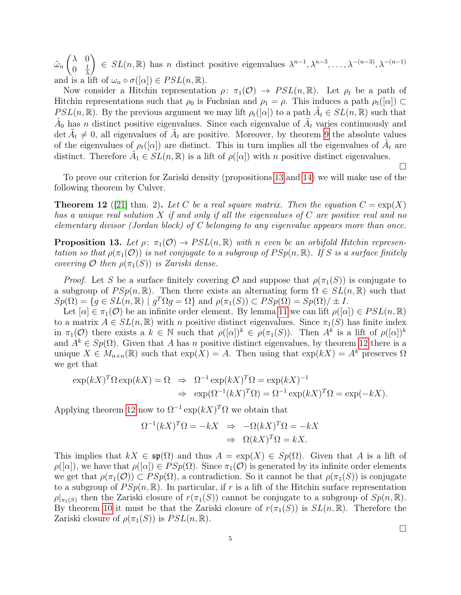$\tilde{\omega}_n$  $(\lambda \ 0$  $0 \frac{1}{\lambda}$ λ  $\Big\} \in SL(n,\mathbb{R})$  has n distinct positive eigenvalues  $\lambda^{n-1}, \lambda^{n-3}, \ldots, \lambda^{-(n-3)}, \lambda^{-(n-1)}$ and is a lift of  $\omega_n \circ \sigma([\alpha]) \in PSL(n, \mathbb{R})$ .

Now consider a Hitchin representation  $\rho: \pi_1(\mathcal{O}) \to PSL(n,\mathbb{R})$ . Let  $\rho_t$  be a path of Hitchin representations such that  $\rho_0$  is Fuchsian and  $\rho_1 = \rho$ . This induces a path  $\rho_t([\alpha]) \subset$ PSL(n, R). By the previous argument we may lift  $\rho_t([\alpha])$  to a path  $\tilde{A}_t \in SL(n,\mathbb{R})$  such that  $\tilde{A}_0$  has n distinct positive eigenvalues. Since each eigenvalue of  $\tilde{A}_t$  varies continuously and det  $\tilde{A}_t \neq 0$ , all eigenvalues of  $\tilde{A}_t$  are positive. Moreover, by theorem [9](#page-3-1) the absolute values of the eigenvalues of  $\rho_t([\alpha])$  are distinct. This in turn implies all the eigenvalues of  $\tilde{A}_t$  are distinct. Therefore  $\tilde{A}_1 \in SL(n, \mathbb{R})$  is a lift of  $\rho([\alpha])$  with n positive distinct eigenvalues.

To prove our criterion for Zariski density (propositions [13](#page-4-0) and [14\)](#page-5-2) we will make use of the following theorem by Culver.

<span id="page-4-1"></span>**Theorem 12** ([\[21\]](#page-10-18) thm. 2). Let C be a real square matrix. Then the equation  $C = \exp(X)$ has a unique real solution X if and only if all the eigenvalues of  $C$  are positive real and no elementary divisor (Jordan block) of C belonging to any eigenvalue appears more than once.

<span id="page-4-0"></span>**Proposition 13.** Let  $\rho: \pi_1(\mathcal{O}) \to PSL(n,\mathbb{R})$  with n even be an orbifold Hitchin representation so that  $\rho(\pi_1(\mathcal{O}))$  is not conjugate to a subgroup of  $PSp(n,\mathbb{R})$ . If S is a surface finitely covering O then  $\rho(\pi_1(S))$  is Zariski dense.

*Proof.* Let S be a surface finitely covering O and suppose that  $\rho(\pi_1(S))$  is conjugate to a subgroup of  $PSp(n,\mathbb{R})$ . Then there exists an alternating form  $\Omega \in SL(n,\mathbb{R})$  such that  $Sp(\Omega) = \{ g \in SL(n, \mathbb{R}) \mid g^T \Omega g = \Omega \}$  and  $\rho(\pi_1(S)) \subset PSp(\Omega) = Sp(\Omega)/\pm I$ .

Let  $[\alpha] \in \pi_1(\mathcal{O})$  be an infinite order element. By lemma [11](#page-3-2) we can lift  $\rho([\alpha]) \in PSL(n,\mathbb{R})$ to a matrix  $A \in SL(n,\mathbb{R})$  with n positive distinct eigenvalues. Since  $\pi_1(S)$  has finite index in  $\pi_1(\mathcal{O})$  there exists a  $k \in \mathbb{N}$  such that  $\rho([\alpha])^k \in \rho(\pi_1(S))$ . Then  $A^k$  is a lift of  $\rho([\alpha])^k$ and  $A^k \in Sp(\Omega)$ . Given that A has n positive distinct eigenvalues, by theorem [12](#page-4-1) there is a unique  $X \in M_{n \times n}(\mathbb{R})$  such that  $\exp(X) = A$ . Then using that  $\exp(kX) = A^k$  preserves  $\Omega$ we get that

$$
\exp(kX)^T \Omega \exp(kX) = \Omega \Rightarrow \Omega^{-1} \exp(kX)^T \Omega = \exp(kX)^{-1}
$$
  

$$
\Rightarrow \exp(\Omega^{-1}(kX)^T \Omega) = \Omega^{-1} \exp(kX)^T \Omega = \exp(-kX).
$$

Applying theorem [12](#page-4-1) now to  $\Omega^{-1} \exp(kX)^T \Omega$  we obtain that

$$
\Omega^{-1}(kX)^T \Omega = -kX \Rightarrow -\Omega(kX)^T \Omega = -kX
$$

$$
\Rightarrow \Omega(kX)^T \Omega = kX.
$$

This implies that  $kX \in \mathfrak{sp}(\Omega)$  and thus  $A = \exp(X) \in Sp(\Omega)$ . Given that A is a lift of  $\rho([\alpha])$ , we have that  $\rho([\alpha]) \in PSp(\Omega)$ . Since  $\pi_1(\mathcal{O})$  is generated by its infinite order elements we get that  $\rho(\pi_1(\mathcal{O})) \subset PSp(\Omega)$ , a contradiction. So it cannot be that  $\rho(\pi_1(S))$  is conjugate to a subgroup of  $PSp(n, \mathbb{R})$ . In particular, if r is a lift of the Hitchin surface representation  $\rho|_{\pi_1(S)}$  then the Zariski closure of  $r(\pi_1(S))$  cannot be conjugate to a subgroup of  $Sp(n, \mathbb{R})$ . By theorem [10](#page-3-3) it must be that the Zariski closure of  $r(\pi_1(S))$  is  $SL(n,\mathbb{R})$ . Therefore the Zariski closure of  $\rho(\pi_1(S))$  is  $PSL(n,\mathbb{R})$ .

 $\Box$ 

 $\Box$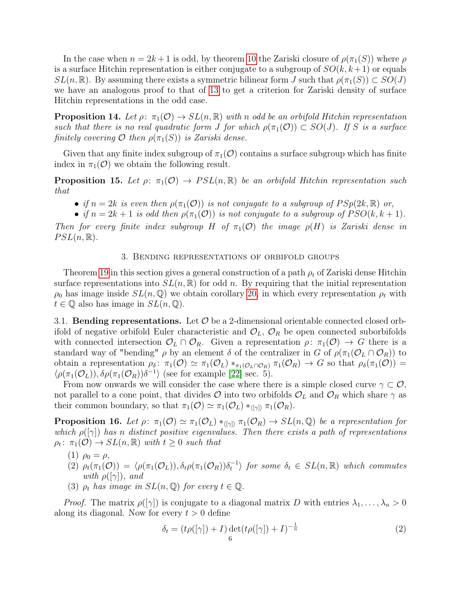In the case when  $n = 2k + 1$  is odd, by theorem [10](#page-3-3) the Zariski closure of  $\rho(\pi_1(S))$  where  $\rho$ is a surface Hitchin representation is either conjugate to a subgroup of  $SO(k, k+1)$  or equals  $SL(n,\mathbb{R})$ . By assuming there exists a symmetric bilinear form J such that  $\rho(\pi_1(S)) \subset SO(J)$ we have an analogous proof to that of [13](#page-4-0) to get a criterion for Zariski density of surface Hitchin representations in the odd case.

<span id="page-5-2"></span>**Proposition 14.** Let  $\rho: \pi_1(\mathcal{O}) \to SL(n, \mathbb{R})$  with n odd be an orbifold Hitchin representation such that there is no real quadratic form J for which  $\rho(\pi_1(\mathcal{O})) \subset SO(J)$ . If S is a surface finitely covering  $\mathcal O$  then  $\rho(\pi_1(S))$  is Zariski dense.

Given that any finite index subgroup of  $\pi_1(\mathcal{O})$  contains a surface subgroup which has finite index in  $\pi_1(\mathcal{O})$  we obtain the following result.

<span id="page-5-1"></span>**Proposition 15.** Let  $\rho: \pi_1(\mathcal{O}) \to PSL(n,\mathbb{R})$  be an orbifold Hitchin representation such that

- if  $n = 2k$  is even then  $\rho(\pi_1(\mathcal{O}))$  is not conjugate to a subgroup of  $PSp(2k, \mathbb{R})$  or,
- if  $n = 2k + 1$  is odd then  $\rho(\pi_1(\mathcal{O}))$  is not conjugate to a subgroup of  $PSO(k, k + 1)$ .

Then for every finite index subgroup H of  $\pi_1(\mathcal{O})$  the image  $\rho(H)$  is Zariski dense in  $PSL(n, \mathbb{R}).$ 

### 3. Bending representations of orbifold groups

<span id="page-5-0"></span>Theorem [19](#page-7-1) in this section gives a general construction of a path  $\rho_t$  of Zariski dense Hitchin surface representations into  $SL(n,\mathbb{R})$  for odd n. By requiring that the initial representation  $\rho_0$  has image inside  $SL(n, \mathbb{Q})$  we obtain corollary [20,](#page-7-2) in which every representation  $\rho_t$  with  $t \in \mathbb{Q}$  also has image in  $SL(n, \mathbb{Q})$ .

3.1. **Bending representations.** Let  $\mathcal{O}$  be a 2-dimensional orientable connected closed orbifold of negative orbifold Euler characteristic and  $\mathcal{O}_L$ ,  $\mathcal{O}_R$  be open connected suborbifolds with connected intersection  $\mathcal{O}_L \cap \mathcal{O}_R$ . Given a representation  $\rho: \pi_1(\mathcal{O}) \to G$  there is a standard way of "bending"  $\rho$  by an element  $\delta$  of the centralizer in G of  $\rho(\pi_1(\mathcal{O}_L \cap \mathcal{O}_R))$  to obtain a representation  $\rho_{\delta}$ :  $\pi_1(\mathcal{O}) \simeq \pi_1(\mathcal{O}_L) *_{\pi_1(\mathcal{O}_L \cap \mathcal{O}_R)} \pi_1(\mathcal{O}_R) \to G$  so that  $\rho_{\delta}(\pi_1(\mathcal{O})) =$  $\langle \rho(\pi_1(\mathcal{O}_L)), \delta\rho(\pi_1(\mathcal{O}_R))\delta^{-1} \rangle$  (see for example [\[22\]](#page-10-19) sec. 5).

From now onwards we will consider the case where there is a simple closed curve  $\gamma \subset \mathcal{O}$ , not parallel to a cone point, that divides O into two orbifolds  $\mathcal{O}_L$  and  $\mathcal{O}_R$  which share  $\gamma$  as their common boundary, so that  $\pi_1(\mathcal{O}) \simeq \pi_1(\mathcal{O}_L) *_{\langle [\gamma] \rangle} \pi_1(\mathcal{O}_R)$ .

<span id="page-5-3"></span>**Proposition 16.** Let  $\rho: \pi_1(\mathcal{O}) \simeq \pi_1(\mathcal{O}_L) *_{\langle \lceil \gamma \rceil \rangle} \pi_1(\mathcal{O}_R) \to SL(n, \mathbb{Q})$  be a representation for which  $\rho([\gamma])$  has n distinct positive eigenvalues. Then there exists a path of representations  $\rho_t$ :  $\pi_1(\mathcal{O}) \to SL(n,\mathbb{R})$  with  $t \geq 0$  such that

- (1)  $\rho_0 = \rho$ ,
- (2)  $\rho_t(\pi_1(\mathcal{O})) = \langle \rho(\pi_1(\mathcal{O}_L)), \delta_t \rho(\pi_1(\mathcal{O}_R)) \delta_t^{-1} \rangle$  for some  $\delta_t \in SL(n, \mathbb{R})$  which commutes with  $\rho([\gamma])$ , and
- (3)  $\rho_t$  has image in  $SL(n, \mathbb{Q})$  for every  $t \in \mathbb{Q}$ .

*Proof.* The matrix  $\rho([\gamma])$  is conjugate to a diagonal matrix D with entries  $\lambda_1, \ldots, \lambda_n > 0$ along its diagonal. Now for every  $t > 0$  define

$$
\delta_t = (t\rho([\gamma]) + I) \det(t\rho([\gamma]) + I)^{-\frac{1}{n}} \tag{2}
$$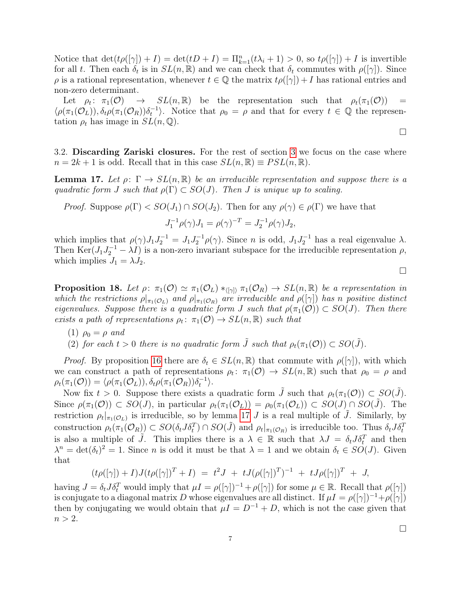Notice that  $\det(t\rho([\gamma]) + I) = \det(tD + I) = \prod_{k=1}^n (t\lambda_i + 1) > 0$ , so  $t\rho([\gamma]) + I$  is invertible for all t. Then each  $\delta_t$  is in  $SL(n,\mathbb{R})$  and we can check that  $\delta_t$  commutes with  $\rho([\gamma])$ . Since  $\rho$  is a rational representation, whenever  $t \in \mathbb{Q}$  the matrix  $t\rho(|\gamma|) + I$  has rational entries and non-zero determinant.

Let  $\rho_t$ :  $\pi_1(\mathcal{O})$  $\rightarrow$   $SL(n,\mathbb{R})$  be the representation such that  $\rho_t(\pi_1(\mathcal{O}))$  =  $\langle \rho(\pi_1(\mathcal{O}_L)), \delta_t \rho(\pi_1(\mathcal{O}_R)) \delta_t^{-1} \rangle$ . Notice that  $\rho_0 = \rho$  and that for every  $t \in \mathbb{Q}$  the representation  $\rho_t$  has image in  $SL(n, \mathbb{Q})$ .

 $\Box$ 

 $\Box$ 

3.2. Discarding Zariski closures. For the rest of section [3](#page-5-0) we focus on the case where  $n = 2k + 1$  is odd. Recall that in this case  $SL(n, \mathbb{R}) \equiv PSL(n, \mathbb{R})$ .

<span id="page-6-0"></span>**Lemma 17.** Let  $\rho: \Gamma \to SL(n, \mathbb{R})$  be an irreducible representation and suppose there is a quadratic form J such that  $\rho(\Gamma) \subset SO(J)$ . Then J is unique up to scaling.

*Proof.* Suppose  $\rho(\Gamma) < SO(J_1) \cap SO(J_2)$ . Then for any  $\rho(\gamma) \in \rho(\Gamma)$  we have that

$$
J_1^{-1}\rho(\gamma)J_1 = \rho(\gamma)^{-T} = J_2^{-1}\rho(\gamma)J_2,
$$

which implies that  $\rho(\gamma)J_1J_2^{-1} = J_1J_2^{-1}\rho(\gamma)$ . Since *n* is odd,  $J_1J_2^{-1}$  has a real eigenvalue  $\lambda$ . Then  $\text{Ker}(J_1J_2^{-1} - \lambda I)$  is a non-zero invariant subspace for the irreducible representation  $\rho$ , which implies  $J_1 = \lambda J_2$ .

<span id="page-6-1"></span>**Proposition 18.** Let  $\rho: \pi_1(\mathcal{O}) \simeq \pi_1(\mathcal{O}_L) *_{\langle [\gamma] \rangle} \pi_1(\mathcal{O}_R) \to SL(n, \mathbb{R})$  be a representation in which the restrictions  $\rho|_{\pi_1(\mathcal{O}_L)}$  and  $\rho|_{\pi_1(\mathcal{O}_R)}$  are irreducible and  $\rho([\gamma])$  has n positive distinct eigenvalues. Suppose there is a quadratic form J such that  $\rho(\pi_1(\mathcal{O})) \subset SO(J)$ . Then there exists a path of representations  $\rho_t: \pi_1(\mathcal{O}) \to SL(n,\mathbb{R})$  such that

- (1)  $\rho_0 = \rho$  and
- (2) for each  $t > 0$  there is no quadratic form  $\tilde{J}$  such that  $\rho_t(\pi_1(\mathcal{O})) \subset SO(\tilde{J})$ .

*Proof.* By proposition [16](#page-5-3) there are  $\delta_t \in SL(n,\mathbb{R})$  that commute with  $\rho([\gamma])$ , with which we can construct a path of representations  $\rho_t: \pi_1(\mathcal{O}) \to SL(n,\mathbb{R})$  such that  $\rho_0 = \rho$  and  $\rho_t(\pi_1(\mathcal{O})) = \langle \rho(\pi_1(\mathcal{O}_L)), \delta_t \rho(\pi_1(\mathcal{O}_R)) \delta_t^{-1} \rangle.$ 

Now fix  $t > 0$ . Suppose there exists a quadratic form  $\tilde{J}$  such that  $\rho_t(\pi_1(\mathcal{O})) \subset SO(\tilde{J})$ . Since  $\rho(\pi_1(\mathcal{O})) \subset SO(J)$ , in particular  $\rho_t(\pi_1(\mathcal{O}_L)) = \rho_0(\pi_1(\mathcal{O}_L)) \subset SO(J) \cap SO(J)$ . The restriction  $\rho_t|_{\pi_1(\mathcal{O}_L)}$  is irreducible, so by lemma [17](#page-6-0) J is a real multiple of  $\tilde{J}$ . Similarly, by construction  $\rho_t(\pi_1(\mathcal{O}_R)) \subset SO(\delta_t J \delta_t^T) \cap SO(\tilde{J})$  and  $\rho_t|_{\pi_1(\mathcal{O}_R)}$  is irreducible too. Thus  $\delta_t J \delta_t^T$ is also a multiple of  $\tilde{J}$ . This implies there is a  $\lambda \in \mathbb{R}$  such that  $\lambda J = \delta_t J \delta_t^T$  and then  $\lambda^n = \det(\delta_t)^2 = 1$ . Since *n* is odd it must be that  $\lambda = 1$  and we obtain  $\delta_t \in SO(J)$ . Given that

$$
(t\rho([\gamma]) + I)J(t\rho([\gamma])^T + I) = t^2J + tJ(\rho([\gamma])^T)^{-1} + tJ\rho([\gamma])^T + J,
$$

having  $J = \delta_t J \delta_t^T$  would imply that  $\mu I = \rho([\gamma])^{-1} + \rho([\gamma])$  for some  $\mu \in \mathbb{R}$ . Recall that  $\rho([\gamma])$ is conjugate to a diagonal matrix D whose eigenvalues are all distinct. If  $\mu I = \rho([\gamma])^{-1}+\rho([\gamma])$ then by conjugating we would obtain that  $\mu I = D^{-1} + D$ , which is not the case given that  $n > 2$ .

 $\Box$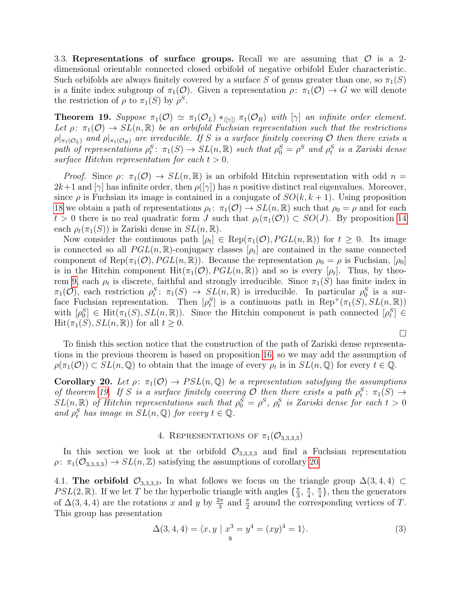3.3. Representations of surface groups. Recall we are assuming that  $\mathcal O$  is a 2dimensional orientable connected closed orbifold of negative orbifold Euler characteristic. Such orbifolds are always finitely covered by a surface S of genus greater than one, so  $\pi_1(S)$ is a finite index subgroup of  $\pi_1(\mathcal{O})$ . Given a representation  $\rho: \pi_1(\mathcal{O}) \to G$  we will denote the restriction of  $\rho$  to  $\pi_1(S)$  by  $\rho^S$ .

<span id="page-7-1"></span>**Theorem 19.** Suppose  $\pi_1(\mathcal{O}) \simeq \pi_1(\mathcal{O}_L) *_{\langle |\gamma| \rangle} \pi_1(\mathcal{O}_R)$  with  $[\gamma]$  an infinite order element. Let  $\rho: \pi_1(\mathcal{O}) \to SL(n,\mathbb{R})$  be an orbifold Fuchsian representation such that the restrictions  $\rho|_{\pi_1(\mathcal{O}_L)}$  and  $\rho|_{\pi_1(\mathcal{O}_R)}$  are irreducible. If S is a surface finitely covering  $\mathcal O$  then there exists a path of representations  $\rho_t^S$ :  $\pi_1(S) \to SL(n, \mathbb{R})$  such that  $\rho_0^S = \rho^S$  and  $\rho_t^S$  is a Zariski dense surface Hitchin representation for each  $t > 0$ .

*Proof.* Since  $\rho: \pi_1(\mathcal{O}) \to SL(n,\mathbb{R})$  is an orbifold Hitchin representation with odd  $n =$  $2k+1$  and  $[\gamma]$  has infinite order, then  $\rho([\gamma])$  has n positive distinct real eigenvalues. Moreover, since  $\rho$  is Fuchsian its image is contained in a conjugate of  $SO(k, k+1)$ . Using proposition [18](#page-6-1) we obtain a path of representations  $\rho_t$ :  $\pi_1(\mathcal{O}) \to SL(n,\mathbb{R})$  such that  $\rho_0 = \rho$  and for each  $t > 0$  there is no real quadratic form J such that  $\rho_t(\pi_1(\mathcal{O})) \subset SO(J)$ . By proposition [14](#page-5-2) each  $\rho_t(\pi_1(S))$  is Zariski dense in  $SL(n,\mathbb{R})$ .

Now consider the continuous path  $[\rho_t] \in \text{Rep}(\pi_1(\mathcal{O}), PGL(n, \mathbb{R}))$  for  $t \geq 0$ . Its image is connected so all  $PGL(n,\mathbb{R})$ -conjugacy classes  $[\rho_t]$  are contained in the same connected component of Rep( $\pi_1(\mathcal{O})$ ,  $PGL(n,\mathbb{R})$ ). Because the representation  $\rho_0 = \rho$  is Fuchsian,  $[\rho_0]$ is in the Hitchin component  $\text{Hit}(\pi_1(\mathcal{O}), PGL(n,\mathbb{R}))$  and so is every  $[\rho_t]$ . Thus, by theo-rem [9,](#page-3-1) each  $\rho_t$  is discrete, faithful and strongly irreducible. Since  $\pi_1(S)$  has finite index in  $\pi_1(\mathcal{O})$ , each restriction  $\rho_t^S: \pi_1(S) \to SL(n,\mathbb{R})$  is irreducible. In particular  $\rho_0^S$  is a surface Fuchsian representation. Then  $[\rho_t^S]$  is a continuous path in Rep<sup>+</sup>( $\pi_1(S)$ ,  $SL(n,\mathbb{R})$ ) with  $[\rho_0^S] \in \text{Hit}(\pi_1(S), SL(n, \mathbb{R}))$ . Since the Hitchin component is path connected  $[\rho_t^S] \in$  $\text{Hit}(\pi_1(S), SL(n, \mathbb{R}))$  for all  $t \geq 0$ .

To finish this section notice that the construction of the path of Zariski dense representations in the previous theorem is based on proposition [16,](#page-5-3) so we may add the assumption of  $\rho(\pi_1(\mathcal{O})) \subset SL(n,\mathbb{Q})$  to obtain that the image of every  $\rho_t$  is in  $SL(n,\mathbb{Q})$  for every  $t \in \mathbb{Q}$ .

<span id="page-7-2"></span>**Corollary 20.** Let  $\rho: \pi_1(\mathcal{O}) \to PSL(n, \mathbb{Q})$  be a representation satisfying the assumptions of theorem [19.](#page-7-1) If S is a surface finitely covering O then there exists a path  $\rho_t^S$ :  $\pi_1(S) \to$ by the over the set of the sample of the set of the set of the set of the set of the set of the set of the set of the set of the set of the set of the set of the set of the set of the set of the set of the set of the set and  $\rho_t^S$  has image in  $SL(n, \mathbb{Q})$  for every  $t \in \mathbb{Q}$ .

# 4. REPRESENTATIONS OF  $\pi_1(\mathcal{O}_{3,3,3,3})$

<span id="page-7-0"></span>In this section we look at the orbifold  $\mathcal{O}_{3,3,3,3}$  and find a Fuchsian representation  $\rho: \pi_1(\mathcal{O}_{3,3,3,3}) \to SL(n,\mathbb{Z})$  satisfying the assumptions of corollary [20.](#page-7-2)

4.1. The orbifold  $\mathcal{O}_{3,3,3,3}$ . In what follows we focus on the triangle group  $\Delta(3,4,4) \subset$  $PSL(2,\mathbb{R})$ . If we let T be the hyperbolic triangle with angles  $\{\frac{\pi}{3}\}$  $\frac{\pi}{3}$ ,  $\frac{\pi}{4}$  $\frac{\pi}{4}$ ,  $\frac{\pi}{4}$  $\frac{\pi}{4}$ , then the generators of  $\Delta(3, 4, 4)$  are the rotations x and y by  $\frac{2\pi}{3}$  and  $\frac{\pi}{2}$  around the corresponding vertices of T. This group has presentation

<span id="page-7-3"></span>
$$
\Delta(3, 4, 4) = \langle x, y \mid x^3 = y^4 = (xy)^4 = 1 \rangle.
$$
 (3)

 $\Box$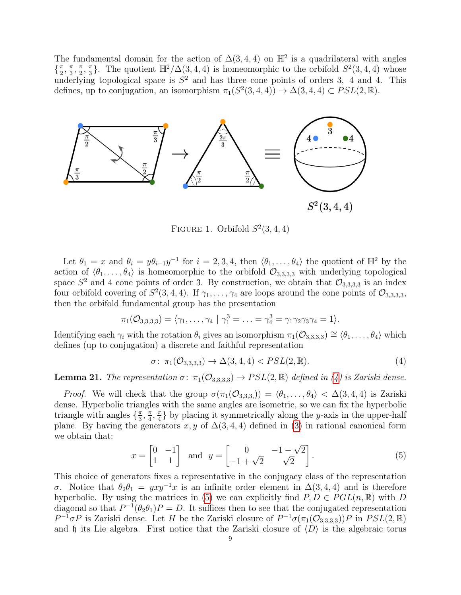The fundamental domain for the action of  $\Delta(3,4,4)$  on  $\mathbb{H}^2$  is a quadrilateral with angles  $\left\{\frac{\pi}{2}\right\}$  $\frac{\pi}{2}$ ,  $\frac{\pi}{3}$  $\frac{\pi}{3}, \frac{\pi}{2}$  $\frac{\pi}{2}$ ,  $\frac{\pi}{3}$  $\frac{\pi}{3}$ . The quotient  $\mathbb{H}^2/\Delta(3,4,4)$  is homeomorphic to the orbifold  $S^2(3,4,4)$  whose underlying topological space is  $S^2$  and has three cone points of orders 3, 4 and 4. This defines, up to conjugation, an isomorphism  $\pi_1(S^2(3, 4, 4)) \to \Delta(3, 4, 4) \subset PSL(2, \mathbb{R})$ .



FIGURE 1. Orbifold  $S^2(3,4,4)$ 

Let  $\theta_1 = x$  and  $\theta_i = y\theta_{i-1}y^{-1}$  for  $i = 2, 3, 4$ , then  $\langle \theta_1, \ldots, \theta_4 \rangle$  the quotient of  $\mathbb{H}^2$  by the action of  $\langle \theta_1, \ldots, \theta_4 \rangle$  is homeomorphic to the orbifold  $\mathcal{O}_{3,3,3,3}$  with underlying topological space  $S^2$  and 4 cone points of order 3. By construction, we obtain that  $\mathcal{O}_{3,3,3,3}$  is an index four orbifold covering of  $S^2(3,4,4)$ . If  $\gamma_1,\ldots,\gamma_4$  are loops around the cone points of  $\mathcal{O}_{3,3,3,3,3}$ then the orbifold fundamental group has the presentation

$$
\pi_1(\mathcal{O}_{3,3,3,3}) = \langle \gamma_1,\ldots,\gamma_4 \mid \gamma_1^3 = \ldots = \gamma_4^3 = \gamma_1 \gamma_2 \gamma_3 \gamma_4 = 1 \rangle.
$$

Identifying each  $\gamma_i$  with the rotation  $\theta_i$  gives an isomorphism  $\pi_1(\mathcal{O}_{3,3,3,3}) \cong \langle \theta_1, \ldots, \theta_4 \rangle$  which defines (up to conjugation) a discrete and faithful representation

<span id="page-8-0"></span>
$$
\sigma: \ \pi_1(\mathcal{O}_{3,3,3,3}) \to \Delta(3,4,4) < PSL(2,\mathbb{R}).\tag{4}
$$

<span id="page-8-2"></span>**Lemma 21.** The representation  $\sigma: \pi_1(\mathcal{O}_{3,3,3,3}) \to PSL(2,\mathbb{R})$  defined in [\(4\)](#page-8-0) is Zariski dense.

*Proof.* We will check that the group  $\sigma(\pi_1(\mathcal{O}_{3,3,3})) = \langle \theta_1, \ldots, \theta_4 \rangle < \Delta(3, 4, 4)$  is Zariski dense. Hyperbolic triangles with the same angles are isometric, so we can fix the hyperbolic triangle with angles  $\{\frac{\pi}{3}\}$  $\frac{\pi}{3}$ ,  $\frac{\pi}{4}$  $\frac{\pi}{4}$ ,  $\frac{\pi}{4}$  $\frac{\pi}{4}$  by placing it symmetrically along the y-axis in the upper-half plane. By having the generators x, y of  $\Delta(3,4,4)$  defined in [\(3\)](#page-7-3) in rational canonical form we obtain that:

<span id="page-8-1"></span>
$$
x = \begin{bmatrix} 0 & -1 \\ 1 & 1 \end{bmatrix} \quad \text{and} \quad y = \begin{bmatrix} 0 & -1 - \sqrt{2} \\ -1 + \sqrt{2} & \sqrt{2} \end{bmatrix} . \tag{5}
$$

This choice of generators fixes a representative in the conjugacy class of the representation σ. Notice that  $\theta_2 \theta_1 = yxy^{-1}x$  is an infinite order element in  $\Delta(3, 4, 4)$  and is therefore hyperbolic. By using the matrices in [\(5\)](#page-8-1) we can explicitly find  $P, D \in PGL(n, \mathbb{R})$  with D diagonal so that  $P^{-1}(\theta_2 \theta_1)P = D$ . It suffices then to see that the conjugated representation  $P^{-1}\sigma P$  is Zariski dense. Let H be the Zariski closure of  $P^{-1}\sigma(\pi_1(\mathcal{O}_{3,3,3,3}))P$  in  $PSL(2,\mathbb{R})$ and  $\mathfrak h$  its Lie algebra. First notice that the Zariski closure of  $\langle D \rangle$  is the algebraic torus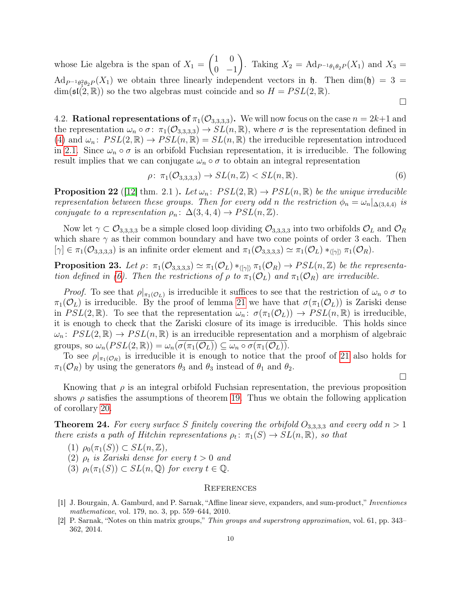whose Lie algebra is the span of  $X_1 =$  $(1 \ 0)$  $0 -1$  $\setminus$ . Taking  $X_2 = \text{Ad}_{P^{-1}\theta_1\theta_2P}(X_1)$  and  $X_3 =$  $\text{Ad}_{P^{-1}\theta_1^2\theta_2P}(X_1)$  we obtain three linearly independent vectors in  $\mathfrak{h}$ . Then  $\dim(\mathfrak{h})=3=$  $\dim(\mathfrak{sl}(2,\mathbb{R}))$  so the two algebras must coincide and so  $H = PSL(2,\mathbb{R})$ .

4.2. **Rational representations of**  $\pi_1(\mathcal{O}_{3,3,3,3})$ . We will now focus on the case  $n = 2k+1$  and the representation  $\omega_n \circ \sigma: \pi_1(\mathcal{O}_{3,3,3,3}) \to SL(n,\mathbb{R})$ , where  $\sigma$  is the representation defined in [\(4\)](#page-8-0) and  $\omega_n$ :  $PSL(2,\mathbb{R}) \to PSL(n,\mathbb{R}) = SL(n,\mathbb{R})$  the irreducible representation introduced in [2.1.](#page-3-4) Since  $\omega_n \circ \sigma$  is an orbifold Fuchsian representation, it is irreducible. The following result implies that we can conjugate  $\omega_n \circ \sigma$  to obtain an integral representation

<span id="page-9-2"></span>
$$
\rho \colon \pi_1(\mathcal{O}_{3,3,3,3}) \to SL(n,\mathbb{Z}) < SL(n,\mathbb{R}).\tag{6}
$$

 $\Box$ 

 $\Box$ 

**Proposition 22** ([\[12\]](#page-10-9) thm. 2.1 ). Let  $\omega_n$ :  $PSL(2,\mathbb{R}) \to PSL(n,\mathbb{R})$  be the unique irreducible representation between these groups. Then for every odd n the restriction  $\phi_n = \omega_n |_{\Delta(3,4,4)}$  is conjugate to a representation  $\rho_n: \Delta(3,4,4) \rightarrow PSL(n,\mathbb{Z}).$ 

Now let  $\gamma \subset \mathcal{O}_{3,3,3,3}$  be a simple closed loop dividing  $\mathcal{O}_{3,3,3,3}$  into two orbifolds  $\mathcal{O}_L$  and  $\mathcal{O}_R$ which share  $\gamma$  as their common boundary and have two cone points of order 3 each. Then  $[\gamma] \in \pi_1(\mathcal{O}_{3,3,3,3})$  is an infinite order element and  $\pi_1(\mathcal{O}_{3,3,3,3}) \simeq \pi_1(\mathcal{O}_L) *_{\langle [\gamma] \rangle} \pi_1(\mathcal{O}_R)$ .

**Proposition 23.** Let  $\rho: \pi_1(\mathcal{O}_{3,3,3,3}) \simeq \pi_1(\mathcal{O}_L) *_{\langle [\gamma] \rangle} \pi_1(\mathcal{O}_R) \to PSL(n,\mathbb{Z})$  be the representa-tion defined in [\(6\)](#page-9-2). Then the restrictions of  $\rho$  to  $\pi_1(\mathcal{O}_L)$  and  $\pi_1(\mathcal{O}_R)$  are irreducible.

*Proof.* To see that  $\rho|_{\pi_1(\mathcal{O}_L)}$  is irreducible it suffices to see that the restriction of  $\omega_n \circ \sigma$  to  $\pi_1(\mathcal{O}_L)$  is irreducible. By the proof of lemma [21](#page-8-2) we have that  $\sigma(\pi_1(\mathcal{O}_L))$  is Zariski dense in  $PSL(2,\mathbb{R})$ . To see that the representation  $\omega_n: \sigma(\pi_1(\mathcal{O}_L)) \to PSL(n,\mathbb{R})$  is irreducible, it is enough to check that the Zariski closure of its image is irreducible. This holds since  $\omega_n$ :  $PSL(2,\mathbb{R}) \to PSL(n,\mathbb{R})$  is an irreducible representation and a morphism of algebraic groups, so  $\omega_n(PSL(2,\mathbb{R})) = \omega_n(\sigma(\pi_1(\mathcal{O}_L))) \subseteq \omega_n \circ \sigma(\pi_1(\mathcal{O}_L)).$ 

To see  $\rho|_{\pi_1(\mathcal{O}_R)}$  is irreducible it is enough to notice that the proof of [21](#page-8-2) also holds for  $\pi_1(\mathcal{O}_R)$  by using the generators  $\theta_3$  and  $\theta_3$  instead of  $\theta_1$  and  $\theta_2$ .

Knowing that  $\rho$  is an integral orbifold Fuchsian representation, the previous proposition shows  $\rho$  satisfies the assumptions of theorem [19.](#page-7-1) Thus we obtain the following application of corollary [20.](#page-7-2)

**Theorem 24.** For every surface S finitely covering the orbifold  $O_{3,3,3,3}$  and every odd  $n > 1$ there exists a path of Hitchin representations  $\rho_t: \pi_1(S) \to SL(n, \mathbb{R})$ , so that

- (1)  $\rho_0(\pi_1(S)) \subset SL(n, \mathbb{Z})$ ,
- (2)  $\rho_t$  is Zariski dense for every  $t > 0$  and
- (3)  $\rho_t(\pi_1(S)) \subset SL(n, \mathbb{Q})$  for every  $t \in \mathbb{Q}$ .

#### **REFERENCES**

- <span id="page-9-0"></span>[1] J. Bourgain, A. Gamburd, and P. Sarnak, "Affine linear sieve, expanders, and sum-product," Inventiones mathematicae, vol. 179, no. 3, pp. 559–644, 2010.
- <span id="page-9-1"></span>[2] P. Sarnak, "Notes on thin matrix groups," Thin groups and superstrong approximation, vol. 61, pp. 343– 362, 2014.